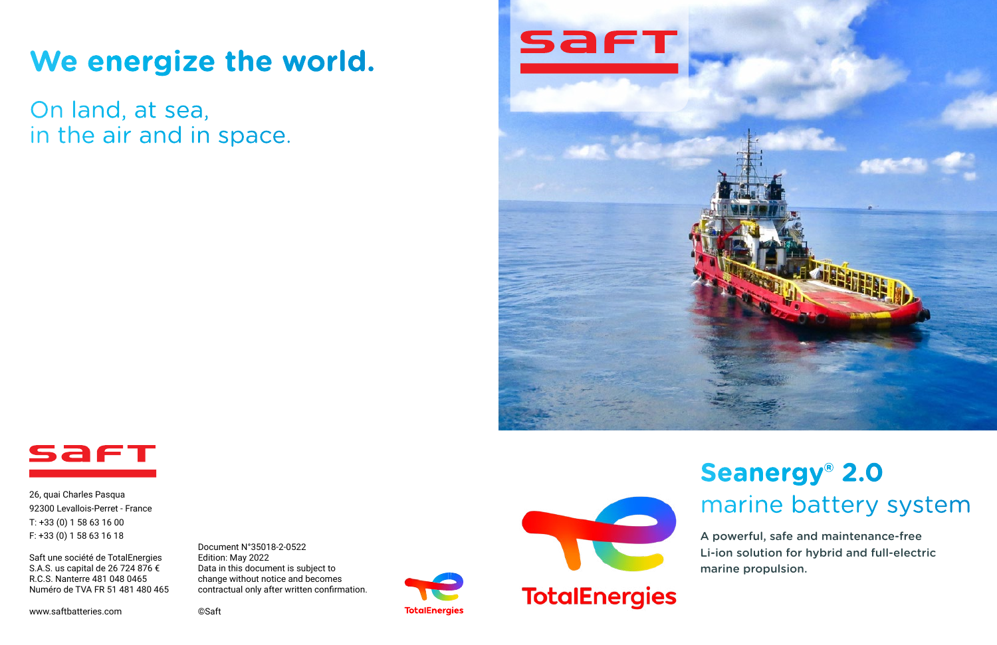# **We energize the world.**

On land, at sea, in the air and in space.







26, quai Charles Pasqua 92300 Levallois-Perret - France T: +33 (0) 1 58 63 16 00 F: +33 (0) 1 58 63 16 18

Saft une société de TotalEnergies S.A.S. us capital de 26 724 876 € R.C.S. Nanterre 481 048 0465 Numéro de TVA FR 51 481 480 465

www.saftbatteries.com

Document N°35018-2-0522 Edition: May 2022 Data in this document is subject to change without notice and becomes contractual only after written confirmation.

©Saft



**TotalEnergies** 

# **Seanergy® 2.0**  marine battery system

A powerful, safe and maintenance-free Li-ion solution for hybrid and full-electric marine propulsion.